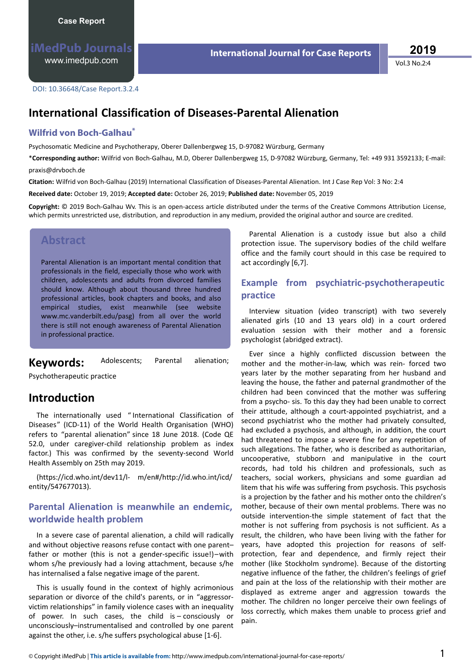**International Journal for Case Reports**

**2019**

Vol.3 No.2:4

DOI: 10.36648/Case Report.3.2.4

## **/** International Classification of Diseases-Parental Alienation

#### **Wilfrid von Boch-Galhau\***

Psychosomatic Medicine and Psychotherapy, Oberer Dallenbergweg 15, D-97082 Würzburg, Germany

\***Corresponding author:** Wilfrid von Boch-Galhau, M.D, Oberer Dallenbergweg 15, D-97082 Würzburg, Germany, Tel: +49 931 3592133; E-mail: praxis@drvboch.de

**Citation:** Wilfrid von Boch-Galhau (2019) International Classification of Diseases-Parental Alienation. Int J Case Rep Vol: 3 No: 2:4

**Received date:** October 19, 2019; **Accepted date:** October 26, 2019; **Published date:** November 05, 2019

Copyright: © 2019 Boch-Galhau Wv. This is an open-access article distributed under the terms of the Creative Commons Attribution License, which permits unrestricted use, distribution, and reproduction in any medium, provided the original author and source are credited.

#### **Abstract**

Parental Alienation is an important mental condition that professionals in the field, especially those who work with children, adolescents and adults from divorced families should know. Although about thousand three hundred professional articles, book chapters and books, and also empirical studies, exist meanwhile (see website www.mc.vanderbilt.edu/pasg) from all over the world there is still not enough awareness of Parental Alienation in professional practice.

Keywords: Adolescents; Parental alienation;

Psychotherapeutic practice

### **Introduction**

The internationally used " International Classification of Diseases" (ICD-11) of the World Health Organisation (WHO) refers to "parental alienation" since 18 June 2018. (Code QE 52.0, under caregiver-child relationship problem as index factor.) This was confirmed by the seventy-second World Health Assembly on 25th may 2019.

(https://icd.who.int/dev11/l- m/en#/http://id.who.int/icd/ entity/547677013).

#### **Parental Alienation is meanwhile an endemic, worldwide health problem**

In a severe case of parental alienation, a child will radically and without objective reasons refuse contact with one parent– father or mother (this is not a gender-specific issue!)–with whom s/he previously had a loving attachment, because s/he has internalised a false negative image of the parent.

This is usually found in the context of highly acrimonious separation or divorce of the child's parents, or in "aggressorvictim relationships" in family violence cases with an inequality of power. In such cases, the child is – consciously or unconsciously–instrumentalised and controlled by one parent against the other, i.e. s/he suffers psychological abuse  $[1-6]$ .

Parental Alienation is a custody issue but also a child protection issue. The supervisory bodies of the child welfare office and the family court should in this case be required to act accordingly [6,7].

#### **Example from psychiatric-psychotherapeutic practice**

Interview situation (video transcript) with two severely alienated girls (10 and 13 years old) in a court ordered evaluation session with their mother and a forensic psychologist (abridged extract).

Ever since a highly conflicted discussion between the mother and the mother-in-law, which was rein- forced two years later by the mother separating from her husband and leaving the house, the father and paternal grandmother of the children had been convinced that the mother was suffering from a psycho- sis. To this day they had been unable to correct their attitude, although a court-appointed psychiatrist, and a second psychiatrist who the mother had privately consulted, had excluded a psychosis, and although, in addition, the court had threatened to impose a severe fine for any repetition of such allegations. The father, who is described as authoritarian, uncooperative, stubborn and manipulative in the court records, had told his children and professionals, such as teachers, social workers, physicians and some guardian ad litem that his wife was suffering from psychosis. This psychosis is a projection by the father and his mother onto the children's mother, because of their own mental problems. There was no outside intervention-the simple statement of fact that the mother is not suffering from psychosis is not sufficient. As a result, the children, who have been living with the father for years, have adopted this projection for reasons of selfprotection, fear and dependence, and firmly reject their mother (like Stockholm syndrome). Because of the distorting negative influence of the father, the children's feelings of grief and pain at the loss of the relationship with their mother are displayed as extreme anger and aggression towards the mother. The children no longer perceive their own feelings of loss correctly, which makes them unable to process grief and pain.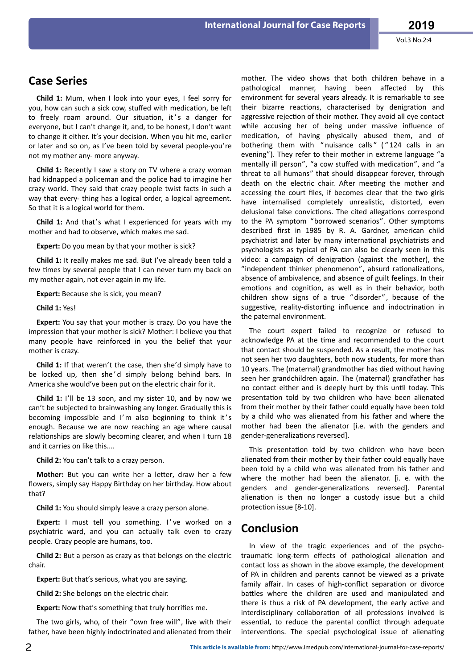### **Case Series**

**Child 1:** Mum, when I look into your eyes, I feel sorry for you, how can such a sick cow, stuffed with medication, be left to freely roam around. Our situation, it's a danger for everyone, but I can't change it, and, to be honest, I don't want to change it either. It's your decision. When you hit me, earlier or later and so on, as I've been told by several people-you're not my mother any- more anyway.

**Child 1:** Recently I saw a story on TV where a crazy woman had kidnapped a policeman and the police had to imagine her crazy world. They said that crazy people twist facts in such a way that every- thing has a logical order, a logical agreement. So that it is a logical world for them.

**Child 1:** And that's what I experienced for years with my mother and had to observe, which makes me sad.

**Expert:** Do you mean by that your mother is sick?

**Child 1:** It really makes me sad. But I've already been told a few times by several people that I can never turn my back on my mother again, not ever again in my life.

**Expert:** Because she is sick, you mean?

**Child 1:** Yes!

**Expert:** You say that your mother is crazy. Do you have the impression that your mother is sick? Mother: I believe you that many people have reinforced in you the belief that your mother is crazy.

**Child 1:** If that weren't the case, then she'd simply have to be locked up, then she'd simply belong behind bars. In America she would've been put on the electric chair for it.

**Child 1:** I'll be 13 soon, and my sister 10, and by now we can't be subjected to brainwashing any longer. Gradually this is becoming impossible and I'm also beginning to think it's enough. Because we are now reaching an age where causal relationships are slowly becoming clearer, and when I turn 18 and it carries on like this....

**Child 2:** You can't talk to a crazy person.

**Mother:** But you can write her a letter, draw her a few flowers, simply say Happy Birthday on her birthday. How about that?

**Child 1:** You should simply leave a crazy person alone.

**Expert:** I must tell you something. I've worked on a psychiatric ward, and you can actually talk even to crazy people. Crazy people are humans, too.

**Child 2:** But a person as crazy as that belongs on the electric chair.

**Expert:** But that's serious, what you are saying.

**Child 2:** She belongs on the electric chair.

**Expert:** Now that's something that truly horrifies me.

The two girls, who, of their "own free will", live with their father, have been highly indoctrinated and alienated from their mother. The video shows that both children behave in a pathological manner, having been affected by this environment for several years already. It is remarkable to see their bizarre reactions, characterised by denigration and aggressive rejection of their mother. They avoid all eye contact while accusing her of being under massive influence of medication, of having physically abused them, and of bothering them with "nuisance calls" ("124 calls in an evening"). They refer to their mother in extreme language "a mentally ill person", "a cow stuffed with medication", and "a threat to all humans" that should disappear forever, through death on the electric chair. After meeting the mother and accessing the court files, if becomes clear that the two girls have internalised completely unrealistic, distorted, even delusional false convictions. The cited allegations correspond to the PA symptom "borrowed scenarios". Other symptoms described first in 1985 by R. A. Gardner, american child psychiatrist and later by many international psychiatrists and psychologists as typical of PA can also be clearly seen in this video: a campaign of denigration (against the mother), the "independent thinker phenomenon", absurd rationalizations, absence of ambivalence, and absence of guilt feelings. In their emotions and cognition, as well as in their behavior, both children show signs of a true "disorder", because of the suggestive, reality-distorting influence and indoctrination in the paternal environment.

The court expert failed to recognize or refused to acknowledge PA at the time and recommended to the court that contact should be suspended. As a result, the mother has not seen her two daughters, both now students, for more than 10 years. The (maternal) grandmother has died without having seen her grandchildren again. The (maternal) grandfather has no contact either and is deeply hurt by this until today. This presentation told by two children who have been alienated from their mother by their father could equally have been told by a child who was alienated from his father and where the mother had been the alienator [i.e. with the genders and gender-generalizations reversed].

This presentation told by two children who have been alienated from their mother by their father could equally have been told by a child who was alienated from his father and where the mother had been the alienator. [i. e. with the genders and gender-generalizations reversed]. Parental alienation is then no longer a custody issue but a child protection issue [8-10].

### **Conclusion**

In view of the tragic experiences and of the psychotraumatic long-term effects of pathological alienation and contact loss as shown in the above example, the development of PA in children and parents cannot be viewed as a private family affair. In cases of high-conflict separation or divorce battles where the children are used and manipulated and there is thus a risk of PA development, the early active and interdisciplinary collaboration of all professions involved is essential, to reduce the parental conflict through adequate interventions. The special psychological issue of alienating